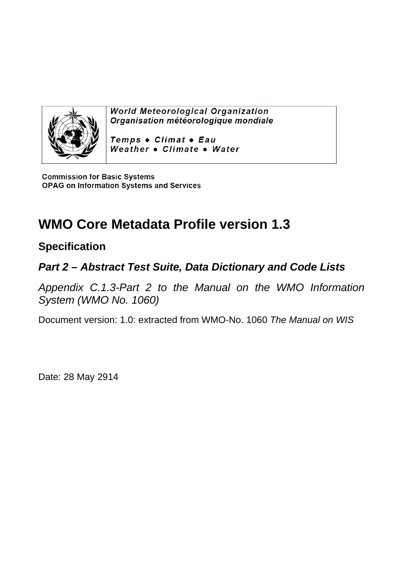

**World Meteorological Organization** Organisation météorologique mondiale

Temps . Climat . Eau Weather . Climate . Water

**Commission for Basic Systems OPAG on Information Systems and Services** 

# **WMO Core Metadata Profile version 1.3**

## **Specification**

## *Part 2 – Abstract Test Suite, Data Dictionary and Code Lists*

*Appendix C.1.3-Part 2 to the Manual on the WMO Information System (WMO No. 1060)* 

Document version: 1.0: extracted from WMO-No. 1060 *The Manual on WIS*

Date: 28 May 2914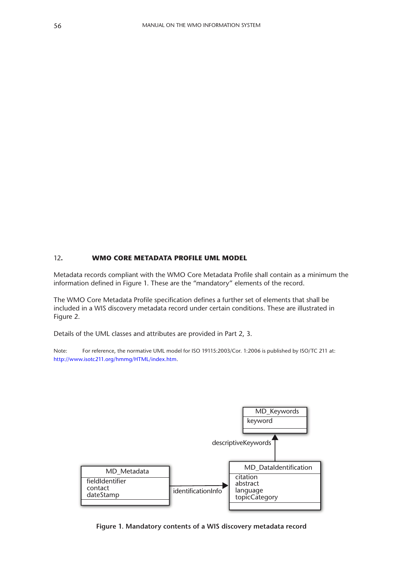#### 12**. WMO CORE METADATA PROFILE UML MODEL**

Metadata records compliant with the WMO Core Metadata Profile shall contain as a minimum the information defined in Figure 1. These are the "mandatory" elements of the record.

The WMO Core Metadata Profile specification defines a further set of elements that shall be included in a WIS discovery metadata record under certain conditions. These are illustrated in Figure 2.

Details of the UML classes and attributes are provided in Part 2, 3.

Note: For reference, the normative UML model for ISO 19115:2003/Cor. 1:2006 is published by ISO/TC 211 at: [http://www.isotc211.org/hmmg/HTML/index.htm.](http://www.isotc211.org/hmmg/HTML/index.htm)



**Figure 1. Mandatory contents of a WIS discovery metadata record**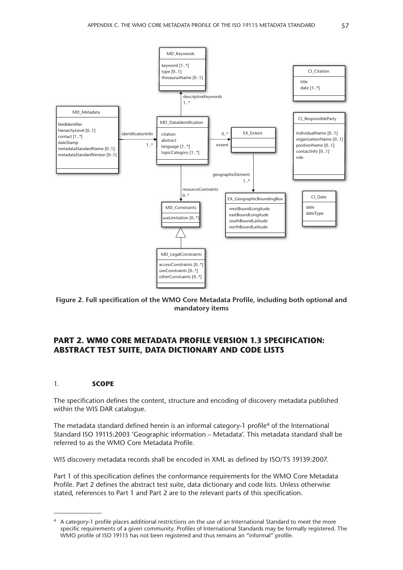

**Figure 2. Full specification of the WMO Core Metadata Profile, including both optional and mandatory items**

### **PART 2. WMO CORE METADATA PROFILE VERSION 1.3 SPECIFICATION: ABSTRACT TEST SUITE, DATA DICTIONARY AND CODE LISTS**

#### 1. **SCOPE**

The specification defines the content, structure and encoding of discovery metadata published within the WIS DAR catalogue.

The metadata standard defined herein is an informal category-1 profile<sup>4</sup> of the International Standard ISO 19115:2003 'Geographic information – Metadata'. This metadata standard shall be referred to as the WMO Core Metadata Profile.

WIS discovery metadata records shall be encoded in XML as defined by ISO/TS 19139:2007.

Part 1 of this specification defines the conformance requirements for the WMO Core Metadata Profile. Part 2 defines the abstract test suite, data dictionary and code lists. Unless otherwise stated, references to Part 1 and Part 2 are to the relevant parts of this specification.

<sup>4</sup> A category-1 profile places additional restrictions on the use of an International Standard to meet the more specific requirements of a given community. Profiles of International Standards may be formally registered. The WMO profile of ISO 19115 has not been registered and thus remains an "informal" profile.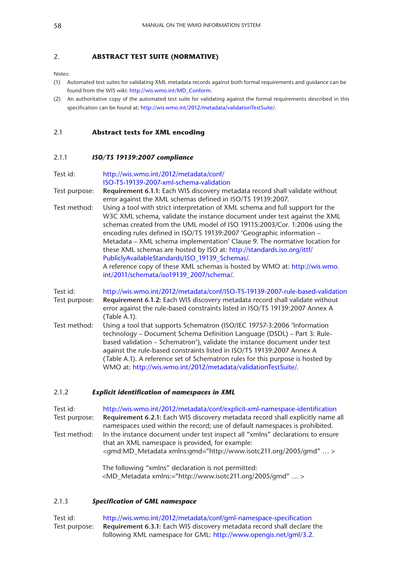#### 2. **ABSTRACT TEST SUITE (NORMATIVE)**

Notes:

- (1) Automated test suites for validating XML metadata records against both formal requirements and guidance can be found from the WIS wiki: [http://wis.wmo.int/MD\\_Conform](http://wis.wmo.int/MD_Conform).
- (2) An authoritative copy of the automated test suite for validating against the formal requirements described in this specification can be found at:<http://wis.wmo.int/2012/metadata/validationTestSuite>/.

#### 2.1 **Abstract tests for XML encoding**

#### 2.1.1 *ISO/TS 19139:2007 compliance*

#### Test id: [http://wis.wmo.int/2012/metadata/conf/](http://wis.wmo.int/2012/metadata/conf/ISO) [ISO](http://wis.wmo.int/2012/metadata/conf/ISO)-TS-19139-2007-xml-schema-validation

- Test purpose: **Requirement 6.1.1:** Each WIS discovery metadata record shall validate without error against the XML schemas defined in ISO/TS 19139:2007.
- Test method: Using a tool with strict interpretation of XML schema and full support for the W3C XML schema, validate the instance document under test against the XML schemas created from the UML model of ISO 19115:2003/Cor. 1:2006 using the encoding rules defined in ISO/TS 19139:2007 'Geographic information – Metadata – XML schema implementation' Clause 9. The normative location for these XML schemas are hosted by ISO at: [http://standards.iso.org/ittf/](http://standards.iso.org/ittf/PubliclyAvailableStandards/ISO_19139_Schemas) [PubliclyAvailableStandards/ISO\\_19139\\_Schemas/](http://standards.iso.org/ittf/PubliclyAvailableStandards/ISO_19139_Schemas). A reference copy of these XML schemas is hosted by WMO at: [http://wis.wmo.](http://wis.wmo.int/2011/schemata/iso19139_2007/schema) [int/2011/schemata/iso19139\\_2007/schema](http://wis.wmo.int/2011/schemata/iso19139_2007/schema)/.

| Test id:      | http://wis.wmo.int/2012/metadata/conf/ISO-TS-19139-2007-rule-based-validation  |
|---------------|--------------------------------------------------------------------------------|
| Test purpose: | Requirement 6.1.2: Each WIS discovery metadata record shall validate without   |
|               | error against the rule-based constraints listed in ISO/TS 19139:2007 Annex A   |
|               | (Table A.1).                                                                   |
| Test method:  | Using a tool that supports Schematron (ISO/IEC 19757-3:2006 'Information       |
|               | technology – Document Schema Definition Language (DSDL) – Part 3: Rule-        |
|               | based validation – Schematron'), validate the instance document under test     |
|               | against the rule-based constraints listed in ISO/TS 19139:2007 Annex A         |
|               | (Table A.1). A reference set of Schematron rules for this purpose is hosted by |
|               | WMO at: http://wis.wmo.int/2012/metadata/validationTestSuite/.                 |

#### 2.1.2 *Explicit identification of namespaces in XML*

Test id: [http://wis.wmo.int/2012/metadata/conf/explicit-](http://wis.wmo.int/2012/metadata/conf/explicit)xml-namespace-identification Test purpose: **Requirement 6.2.1:** Each WIS discovery metadata record shall explicitly name all namespaces used within the record; use of default namespaces is prohibited. Test method: In the instance document under test inspect all "xmlns" declarations to ensure that an XML namespace is provided, for example: <gmd:MD\_Metadata xmlns:gmd=["http://www.isotc211.org/2005/gmd"](http://www.isotc211.org/2005/gmd) ... >

> The following "xmlns" declaration is not permitted: <MD\_Metadata xmlns:=["http://www.isotc211.org/2005/gmd](http://www.isotc211.org/2005/gmd)" … >

#### 2.1.3 *Specification of GML namespace*

Test id: [http://wis.wmo.int/2012/metadata/conf/gml-](http://wis.wmo.int/2012/metadata/conf/gml)namespace-specification Test purpose: **Requirement 6.3.1:** Each WIS discovery metadata record shall declare the following XML namespace for GML:<http://www.opengis.net/gml>/3.2.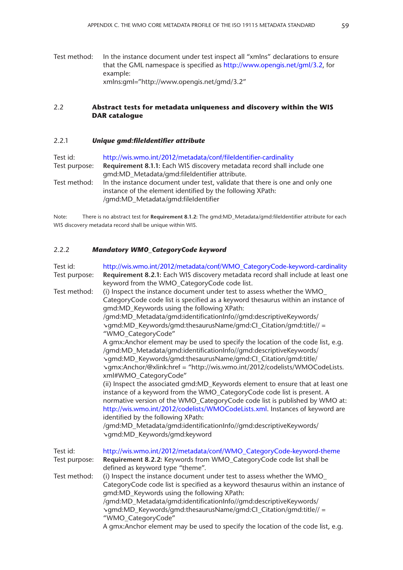Test method: In the instance document under test inspect all "xmlns" declarations to ensure that the GML namespace is specified as<http://www.opengis.net/gml>/3.2, for example: xmlns:gml=["http://www.opengis.net/gmd/](http://www.opengis.net/gmd)3.2"

#### 2.2 **Abstract tests for metadata uniqueness and discovery within the WIS DAR catalogue**

#### 2.2.1 *Unique gmd:fileIdentifier attribute*

Test id: <http://wis.wmo.int/2012/metadata/conf/fileIdentifier>-cardinality Test purpose: **Requirement 8.1.1:** Each WIS discovery metadata record shall include one gmd:MD\_Metadata/gmd:fileIdentifier attribute. Test method: In the instance document under test, validate that there is one and only one instance of the element identified by the following XPath: /gmd:MD\_Metadata/gmd:fileIdentifier

Note: There is no abstract test for **Requirement 8.1.2:** The gmd:MD\_Metadata/gmd:fileIdentifier attribute for each WIS discovery metadata record shall be unique within WIS.

#### 2.2.2 *Mandatory WMO\_CategoryCode keyword*

| Test id:                  | http://wis.wmo.int/2012/metadata/conf/WMO_CategoryCode-keyword-cardinality                                                                                                                                                                                                                                                                                              |
|---------------------------|-------------------------------------------------------------------------------------------------------------------------------------------------------------------------------------------------------------------------------------------------------------------------------------------------------------------------------------------------------------------------|
| Test purpose:             | Requirement 8.2.1: Each WIS discovery metadata record shall include at least one<br>keyword from the WMO_CategoryCode code list.                                                                                                                                                                                                                                        |
| Test method:              | (i) Inspect the instance document under test to assess whether the WMO<br>CategoryCode code list is specified as a keyword thesaurus within an instance of<br>gmd:MD_Keywords using the following XPath:<br>/gmd:MD_Metadata/gmd:identificationInfo//gmd:descriptiveKeywords/<br>>gmd:MD_Keywords/gmd:thesaurusName/gmd:Cl_Citation/gmd:title// =<br>"WMO_CategoryCode" |
|                           | A gmx:Anchor element may be used to specify the location of the code list, e.g.<br>/gmd:MD_Metadata/gmd:identificationInfo//gmd:descriptiveKeywords/<br>\gmd:MD_Keywords/gmd:thesaurusName/gmd:Cl_Citation/gmd:title/<br>vgmx:Anchor/@xlink:href = "http://wis.wmo.int/2012/codelists/WMOCodeLists.<br>xml#WMO_CategoryCode"                                            |
|                           | (ii) Inspect the associated gmd:MD_Keywords element to ensure that at least one<br>instance of a keyword from the WMO_CategoryCode code list is present. A<br>normative version of the WMO_CategoryCode code list is published by WMO at:<br>http://wis.wmo.int/2012/codelists/WMOCodeLists.xml. Instances of keyword are<br>identified by the following XPath:         |
|                           | /gmd:MD_Metadata/gmd:identificationInfo//gmd:descriptiveKeywords/<br>vgmd:MD_Keywords/gmd:keyword                                                                                                                                                                                                                                                                       |
| Test id:<br>Test purpose: | http://wis.wmo.int/2012/metadata/conf/WMO_CategoryCode-keyword-theme<br>Requirement 8.2.2: Keywords from WMO_CategoryCode code list shall be<br>defined as keyword type "theme".                                                                                                                                                                                        |
| Test method:              | (i) Inspect the instance document under test to assess whether the WMO<br>CategoryCode code list is specified as a keyword thesaurus within an instance of<br>gmd:MD_Keywords using the following XPath:<br>/gmd:MD_Metadata/gmd:identificationInfo//gmd:descriptiveKeywords/<br>>gmd:MD_Keywords/gmd:thesaurusName/gmd:Cl_Citation/gmd:title// =<br>"WMO_CategoryCode" |
|                           | A gmx:Anchor element may be used to specify the location of the code list, e.g.                                                                                                                                                                                                                                                                                         |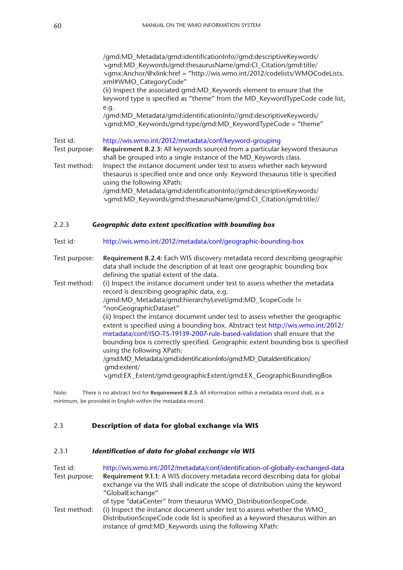/gmd:MD\_Metadata/gmd:identificationInfo//gmd:descriptiveKeywords/ **➘**gmd:MD\_Keywords/gmd:thesaurusName/gmd:CI\_Citation/gmd:title/ **➘**gmx:Anchor/@xlink:href = ["http://wis.wmo.int/2012/codelists/WMOCodeLists.](http://wis.wmo.int/2012/codelists/WMOCodeLists.xml) [xml#](http://wis.wmo.int/2012/codelists/WMOCodeLists.xml)WMO\_CategoryCode" (ii) Inspect the associated gmd:MD\_Keywords element to ensure that the keyword type is specified as "theme" from the MD\_KeywordTypeCode code list, e.g. /gmd:MD\_Metadata/gmd:identificationInfo//gmd:descriptiveKeywords/ **➘**gmd:MD\_Keywords/gmd:type/gmd:MD\_KeywordTypeCode = "theme" Test id: [http://wis.wmo.int/2012/metadata/conf/keyword-](http://wis.wmo.int/2012/metadata/conf/keyword)grouping Test purpose: **Requirement 8.2.3:** All keywords sourced from a particular keyword thesaurus shall be grouped into a single instance of the MD\_Keywords class. Test method: Inspect the instance document under test to assess whether each keyword thesaurus is specified once and once only. Keyword thesaurus title is specified using the following XPath: /gmd:MD\_Metadata/gmd:identificationInfo//gmd:descriptiveKeywords/ **➘**gmd:MD\_Keywords/gmd:thesaurusName/gmd:CI\_Citation/gmd:title// 2.2.3 *Geographic data extent specification with bounding box* Test id: [http://wis.wmo.int/2012/metadata/conf/geographic-](http://wis.wmo.int/2012/metadata/conf/geographic)bounding-box Test purpose: **Requirement 8.2.4:** Each WIS discovery metadata record describing geographic data shall include the description of at least one geographic bounding box defining the spatial extent of the data.

Test method: (i) Inspect the instance document under test to assess whether the metadata record is describing geographic data, e.g. /gmd:MD\_Metadata/gmd:hierarchyLevel/gmd:MD\_ScopeCode != "nonGeographicDataset" (ii) Inspect the instance document under test to assess whether the geographic extent is specified using a bounding box. Abstract test [http://wis.wmo.int/2012/](http://wis.wmo.int/2012/metadata/conf/ISO) [metadata/conf/ISO-](http://wis.wmo.int/2012/metadata/conf/ISO)TS-19139-2007-rule-based-validation shall ensure that the bounding box is correctly specified. Geographic extent bounding box is specified using the following XPath: /gmd:MD\_Metadata/gmd:identificationInfo/gmd:MD\_DataIdentification/ ↘gmd:extent/ **➘**gmd:EX\_Extent/gmd:geographicExtent/gmd:EX\_GeographicBoundingBox

Note: There is no abstract test for **Requirement 8.2.5:** All information within a metadata record shall, as a minimum, be provided in English within the metadata record.

#### 2.3 **Description of data for global exchange via WIS**

#### 2.3.1 *Identification of data for global exchange via WIS*

| Test id:      | http://wis.wmo.int/2012/metadata/conf/identification-of-globally-exchanged-data                                                                                  |
|---------------|------------------------------------------------------------------------------------------------------------------------------------------------------------------|
| Test purpose: | Requirement 9.1.1: A WIS discovery metadata record describing data for global<br>exchange via the WIS shall indicate the scope of distribution using the keyword |
|               | "GlobalExchange"                                                                                                                                                 |
|               | of type "dataCenter" from thesaurus WMO_DistributionScopeCode.                                                                                                   |
| Test method:  | (i) Inspect the instance document under test to assess whether the WMO                                                                                           |
|               | DistributionScopeCode code list is specified as a keyword thesaurus within an                                                                                    |
|               | instance of qmd:MD_Keywords using the following XPath:                                                                                                           |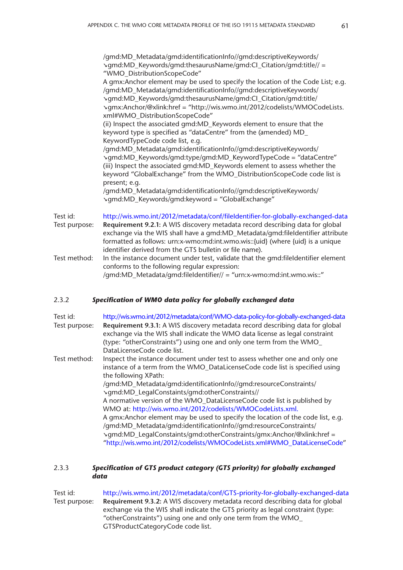/gmd:MD\_Metadata/gmd:identificationInfo//gmd:descriptiveKeywords/ **➘**gmd:MD\_Keywords/gmd:thesaurusName/gmd:CI\_Citation/gmd:title// = "WMO\_DistributionScopeCode" A gmx:Anchor element may be used to specify the location of the Code List; e.g. /gmd:MD\_Metadata/gmd:identificationInfo//gmd:descriptiveKeywords/ **➘**gmd:MD\_Keywords/gmd:thesaurusName/gmd:CI\_Citation/gmd:title/ **➘**gmx:Anchor/@xlink:href = ["http://wis.wmo.int/2012/codelists/WMOCodeLists.](http://wis.wmo.int/2012/codelists/WMOCodeLists.xml) [xml#](http://wis.wmo.int/2012/codelists/WMOCodeLists.xml)WMO\_DistributionScopeCode" (ii) Inspect the associated gmd:MD\_Keywords element to ensure that the keyword type is specified as "dataCentre" from the (amended) MD\_ KeywordTypeCode code list, e.g. /gmd:MD\_Metadata/gmd:identificationInfo//gmd:descriptiveKeywords/ **➘**gmd:MD\_Keywords/gmd:type/gmd:MD\_KeywordTypeCode = "dataCentre" (iii) Inspect the associated gmd:MD\_Keywords element to assess whether the keyword "GlobalExchange" from the WMO\_DistributionScopeCode code list is present; e.g. /gmd:MD\_Metadata/gmd:identificationInfo//gmd:descriptiveKeywords/ **➘**gmd:MD\_Keywords/gmd:keyword = "GlobalExchange" Test id: <http://wis.wmo.int/2012/metadata/conf/fileIdentifier>-for-globally-exchanged-data Test purpose: **Requirement 9.2.1:** A WIS discovery metadata record describing data for global exchange via the WIS shall have a gmd:MD\_Metadata/gmd:fileIdentifier attribute formatted as follows: urn:x-wmo:md:[int.wmo.wis:](int.wmo.wis):{uid} (where {uid} is a unique identifier derived from the GTS bulletin or file name). Test method: In the instance document under test, validate that the gmd: fileIdentifier element conforms to the following regular expression: /gmd:MD\_Metadata/gmd:fileIdentifier// = "urn:x-wmo:md:[int.wmo.wis:](int.wmo.wis):"

#### 2.3.2 *Specification of WMO data policy for globally exchanged data*

| Test id:      | http://wis.wmo.int/2012/metadata/conf/WMO-data-policy-for-globally-exchanged-data                                                                             |  |  |  |  |  |
|---------------|---------------------------------------------------------------------------------------------------------------------------------------------------------------|--|--|--|--|--|
| Test purpose: | Requirement 9.3.1: A WIS discovery metadata record describing data for global<br>exchange via the WIS shall indicate the WMO data license as legal constraint |  |  |  |  |  |
|               | (type: "otherConstraints") using one and only one term from the WMO_                                                                                          |  |  |  |  |  |
|               | DataLicenseCode code list.                                                                                                                                    |  |  |  |  |  |
| Test method:  | Inspect the instance document under test to assess whether one and only one                                                                                   |  |  |  |  |  |
|               | instance of a term from the WMO_DataLicenseCode code list is specified using                                                                                  |  |  |  |  |  |
|               | the following XPath:                                                                                                                                          |  |  |  |  |  |
|               | /gmd:MD_Metadata/gmd:identificationInfo//gmd:resourceConstraints/                                                                                             |  |  |  |  |  |
|               | \gmd:MD_LegalConstaints/gmd:otherConstraints//                                                                                                                |  |  |  |  |  |
|               | A normative version of the WMO_DataLicenseCode code list is published by                                                                                      |  |  |  |  |  |
|               | WMO at: http://wis.wmo.int/2012/codelists/WMOCodeLists.xml.                                                                                                   |  |  |  |  |  |
|               | A gmx:Anchor element may be used to specify the location of the code list, e.g.                                                                               |  |  |  |  |  |
|               | /gmd:MD_Metadata/gmd:identificationInfo//gmd:resourceConstraints/                                                                                             |  |  |  |  |  |
|               | >gmd:MD_LegalConstaints/gmd:otherConstraints/gmx:Anchor/@xlink:href =                                                                                         |  |  |  |  |  |
|               | "http://wis.wmo.int/2012/codelists/WMOCodeLists.xml#WMO_DataLicenseCode"                                                                                      |  |  |  |  |  |

#### 2.3.3 *Specification of GTS product category (GTS priority) for globally exchanged data*

Test id: <http://wis.wmo.int/2012/metadata/conf/GTS>-priority-for-globally-exchanged-data Test purpose: **Requirement 9.3.2:** A WIS discovery metadata record describing data for global exchange via the WIS shall indicate the GTS priority as legal constraint (type: "otherConstraints") using one and only one term from the WMO\_ GTSProductCategoryCode code list.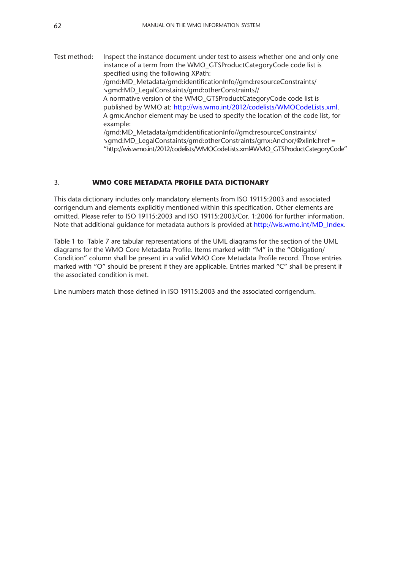Test method: Inspect the instance document under test to assess whether one and only one instance of a term from the WMO\_GTSProductCategoryCode code list is specified using the following XPath: /gmd:MD\_Metadata/gmd:identificationInfo//gmd:resourceConstraints/ **➘**gmd:MD\_LegalConstaints/gmd:otherConstraints// A normative version of the WMO\_GTSProductCategoryCode code list is published by WMO at: [http://wis.wmo.int/2012/codelists/WMOCodeLists.xml.](http://wis.wmo.int/2012/codelists/WMOCodeLists.xml) A gmx:Anchor element may be used to specify the location of the code list, for example: /gmd:MD\_Metadata/gmd:identificationInfo//gmd:resourceConstraints/ **➘**gmd:MD\_LegalConstaints/gmd:otherConstraints/gmx:Anchor/@xlink:href = ["http://wis.wmo.int/2012/codelists/WMOCodeLists.xml](http://wis.wmo.int/2012/codelists/WMOCodeLists.xml)#WMO\_GTSProductCategoryCode"

#### 3. **WMO CORE METADATA PROFILE DATA DICTIONARY**

This data dictionary includes only mandatory elements from ISO 19115:2003 and associated corrigendum and elements explicitly mentioned within this specification. Other elements are omitted. Please refer to ISO 19115:2003 and ISO 19115:2003/Cor. 1:2006 for further information. Note that additional guidance for metadata authors is provided at [http://wis.wmo.int/MD\\_Index](http://wis.wmo.int/MD_Index).

Table 1 to Table 7 are tabular representations of the UML diagrams for the section of the UML diagrams for the WMO Core Metadata Profile. Items marked with "M" in the "Obligation/ Condition" column shall be present in a valid WMO Core Metadata Profile record. Those entries marked with "O" should be present if they are applicable. Entries marked "C" shall be present if the associated condition is met.

Line numbers match those defined in ISO 19115:2003 and the associated corrigendum.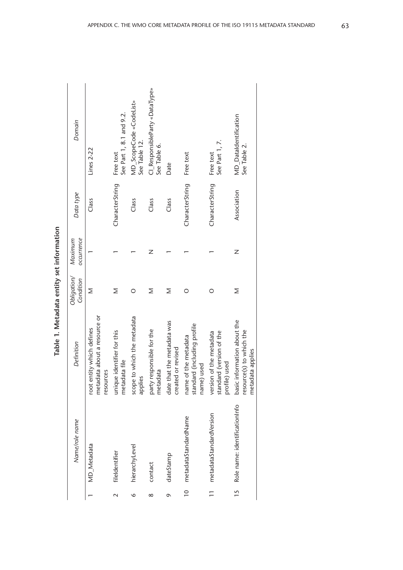| ì      |
|--------|
| į<br>ļ |
| ١<br>í |
| :<br>; |
| í      |
|        |

|                 | Name/role name                | Definition                                                                  | Obligation/<br>Condition | occurrence<br>Maximum | Data type                 | Domain                                         |
|-----------------|-------------------------------|-----------------------------------------------------------------------------|--------------------------|-----------------------|---------------------------|------------------------------------------------|
|                 | <b>MD</b> Metadata            | metadata about a resource or<br>root entity which defines<br>resources      | Σ                        |                       | Class                     | Lines 2-22                                     |
| $\mathbf{\sim}$ | fileIdentifier                | unique identifier for this<br>metadata file                                 | Σ                        |                       | CharacterString           | See Part 1, 8.1 and 9.2.<br>Free text          |
| $\circ$         | hierarchyLevel                | scope to which the metadata<br>applies                                      | O                        |                       | Class                     | MD_ScopeCode «CodeList»<br>See Table 12.       |
| $\infty$        | contact                       | party responsible for the<br>metadata                                       | Σ                        | Z                     | Class                     | CI_ResponsibleParty «DataType»<br>See Table 6. |
| $\sigma$        | dateStamp                     | date that the metadata was<br>created or revised                            | Σ                        |                       | Class                     | Date                                           |
| $\frac{1}{2}$   | metadataStandardName          | standard (including profile<br>name of the metadata<br>name) used           | O                        |                       | CharacterString Free text |                                                |
| $\equiv$        | metadataStandardVersion       | standard (version of the<br>version of the metadata<br>profile) used        | O                        |                       | CharacterString           | See Part 1, 7.<br>Free text                    |
| 15              | Role name: identificationInfo | basic information about the<br>resource(s) to which the<br>metadata applies | Σ                        | Z                     | Association               | <b>MD_DataIdentification</b><br>See Table 2.   |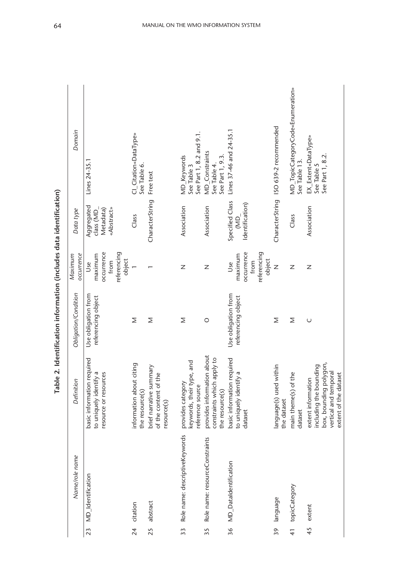| i                          |
|----------------------------|
|                            |
| i cicha da ao ao 11        |
| is a factor of the control |
| i<br>Seiscean              |
| ֚֚<br>.<br>F               |

| Obligation/Condition<br>Use obligation from | maximum<br>referencing object                        | referencing<br>occurrence<br>from | object<br>Σ                 | Σ                                                                                  | Ζ<br>Σ                               |                                               | Association<br>Z<br>$\circ$                                                    | Specified Class<br>maximum<br>Use<br>Use obligation from<br>referencing object | Identification)<br>occurrence<br>referencing<br>object<br>from | CharacterString<br>$\overline{z}$<br>Σ | Ζ<br>Σ                          | Association<br>Z<br>$\cup$ |
|---------------------------------------------|------------------------------------------------------|-----------------------------------|-----------------------------|------------------------------------------------------------------------------------|--------------------------------------|-----------------------------------------------|--------------------------------------------------------------------------------|--------------------------------------------------------------------------------|----------------------------------------------------------------|----------------------------------------|---------------------------------|----------------------------|
| basic information required<br>Definition    | to uniquely identify a<br>č9.<br>resource or resourc |                                   | citing<br>information about | brief narrative summary<br>of the content of the<br>the resource(s)<br>resource(S) | provides category                    | keywords, their type, and<br>reference source | provides information about<br>apply to<br>constraints which<br>the resource(s) | basic information required<br>to uniquely identify a                           | dataset                                                        | language(s) used within<br>the dataset | main theme(s) of the<br>dataset | extent information         |
| Name/role name<br>MD_Identification<br>23   |                                                      |                                   | citation<br>$\frac{4}{3}$   | abstract<br>25                                                                     | Role name: descriptiveKeywords<br>33 |                                               | Role name: resourceConstraints<br>35                                           | <b>MD_DataIdentification</b><br>36                                             |                                                                | language<br>39                         | topicCategory<br>$\frac{4}{1}$  | extent<br>45               |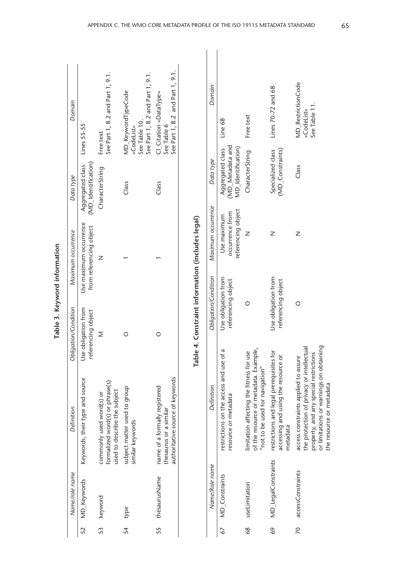|    | Name/role name   | Definition                                                                                  | Obligation/Condition                      | Maximum occurrence                                | Data type                               | Domain                                                                                |
|----|------------------|---------------------------------------------------------------------------------------------|-------------------------------------------|---------------------------------------------------|-----------------------------------------|---------------------------------------------------------------------------------------|
| 52 | MD_Keywords      | Keywords, their type and source                                                             | Use obligation from<br>referencing object | Use maximum occurrence<br>from referencing object | (MD_Identification)<br>Aggregated class | Lines 53-55                                                                           |
|    | 53 keyword       | formalized word(s) or phrase(s)<br>used to describe the subject<br>commonly used word(s) or | Σ                                         |                                                   | CharacterString                         | See Part 1, 8.2 and Part 1, 9.1.<br>Free text                                         |
| 54 | type             | subject matter used to group<br>similar keywords                                            |                                           |                                                   | Class                                   | See Part 1, 8.2 and Part 1, 9.1.<br>MD_KeywordTypeCode<br>See Table 10.<br>«CodeList» |
|    | 55 thesaurusName | authoritative source of keywords<br>name of a formally registered<br>thesaurus or a similar |                                           |                                                   | Class                                   | See Part 1, 8.2 and Part 1, 9.1.<br>CI Citation «DataType»<br>See Table 6             |
|    |                  |                                                                                             |                                           | Table 4. Constraint information (includes legal)  |                                         |                                                                                       |

| l      |
|--------|
|        |
| ١<br>í |
| t      |
| l      |
|        |
| í      |

### Domain Lines 70-72 and 68 *Name/Role name Definition Obligation/Condition Maximum occurrence Data type Domain* Lines 70-72 and 68 Free text CharacterString Free text Line 68 (MD\_Metadata and (MD\_Metadata and Specialized class MD\_Identification) Aggregated class MD\_Identification) Aggregated class MD\_Constraints) CharacterString Specialized class Data type Maximum occurrence referencing object referencing object occurrence from occurrence from Use maximum Use maximum  $\overline{z}$  $\overline{z}$ Obligation/Condition Use obligation from Use obligation from Use obligation from Use obligation from referencing object referencing object O of the resource or metadata. Example, restrictions on the access and use of a 67 MD\_Constraints restrictions on the access and use of a of the resource or metadata. Example, 69 MD\_LegalConstraints restrictions and legal prerequisites for limitation affecting the fitness for use 68 useLimitation limitation affecting the fitness for use "not to be used for navigation" "not to be used for navigation" Definition resource or metadata resource or metadata **MD\_LegalConstraints** Name/Role name

MD\_Constraints

67

useLimitation

68

N<br>Class MD RestrictionCode (MD\_Constraints) z referencing object referencing object O or limitations or warnings on obtaining the protection of privacy or intellectual the protection of privacy or intellectual or limitations or warnings on obtaining restrictions and legal prerequisites for<br>accessing and using the resource or property, and any special restrictions property, and any special restrictions accessing and using the resource or access constraints applied to assure 70 accessConstraints access constraints applied to assure the resource or metadata the resource or metadata metadata metadata accessConstraints

 $\overline{\mathcal{R}}$ 

69

«CodeList» See Table 11.

See Table 11. «CodeList»

MD\_RestrictionCode

Class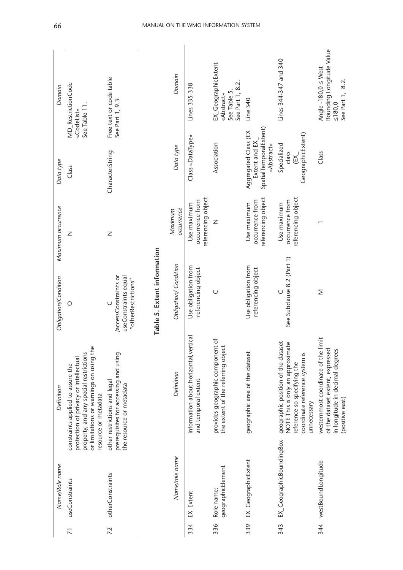|                | Name/Role name                  | Definition                                                                                                                                                                              | Obligation/Condition                                                | Maximum occurrence                                   | Data type                                                                      | Domain                                                                                   |
|----------------|---------------------------------|-----------------------------------------------------------------------------------------------------------------------------------------------------------------------------------------|---------------------------------------------------------------------|------------------------------------------------------|--------------------------------------------------------------------------------|------------------------------------------------------------------------------------------|
| $\overline{2}$ | useConstraints                  | or limitations or warnings on using the<br>property, and any special restrictions<br>protection of privacy or intellectual<br>constraints applied to assure the<br>resource or metadata | $\circ$                                                             | Ζ                                                    | Class                                                                          | MD_RestrictionCode<br>See Table 11.<br>«CodeList»                                        |
| 72             | otherConstraints                | prerequisites for accessing and using<br>other restrictions and legal<br>the resource or metadata                                                                                       | accessConstraints or<br>useConstraints equal<br>"otherRestrictions" | Z                                                    | CharacterString                                                                | Free text or code table<br>See Part 1, 9.3.                                              |
|                |                                 |                                                                                                                                                                                         | Table 5. Extent information                                         |                                                      |                                                                                |                                                                                          |
|                | Name/role name                  | Definition                                                                                                                                                                              | Obligation/Condition                                                | occurrence<br>Maximum                                | Data type                                                                      | Domain                                                                                   |
| 334            | EX Extent                       | information about horizontal, vertical<br>and temporal extent                                                                                                                           | Use obligation from<br>referencing object                           | referencing object<br>occurrence from<br>Use maximum | Class «DataType»                                                               | Lines 335-338                                                                            |
| 336            | geographicElement<br>Role name: | provides geographic component of<br>the extent of the referring object                                                                                                                  | $\cup$                                                              | Z                                                    | Association                                                                    | EX_GeographicExtent<br>See Part 1, 8.2.<br>See Table 5.<br>«Abstract»                    |
| 339            | EX_GeographicExtent             | geographic area of the dataset                                                                                                                                                          | Use obligation from<br>referencing object                           | referencing object<br>occurrence from<br>Use maximum | Aggregated Class (EX_<br>SpatialTemporalExtent)<br>Extent and EX<br>«Abstract» | Line 340                                                                                 |
| 343            | EX_GeographicBoundingBox        | geographic position of the dataset<br>ate<br>NOTE This is only an approxim<br>coordinate reference system is<br>reference so specifying the<br>unnecessary                              | See Subclause 8.2 (Part 1)<br>$\cup$                                | referencing object<br>occurrence from<br>Use maximum | GeographicExtent)<br>Specialized<br>class<br>EX.                               | Lines 344-347 and 340                                                                    |
|                | 344 westBoundLongitude          | westernmost coordinate of the limit<br>of the dataset extent, expressed<br>in longitude in decimal degrees<br>(positive east)                                                           | Σ                                                                   |                                                      | Class                                                                          | Bounding Longitude Value<br>Angle -180,0 $\leq$ West<br>See Part 1, 8.2.<br>$\leq 180,0$ |

#### 66 MANUAL ON THE WMO INFORMATION SYSTEM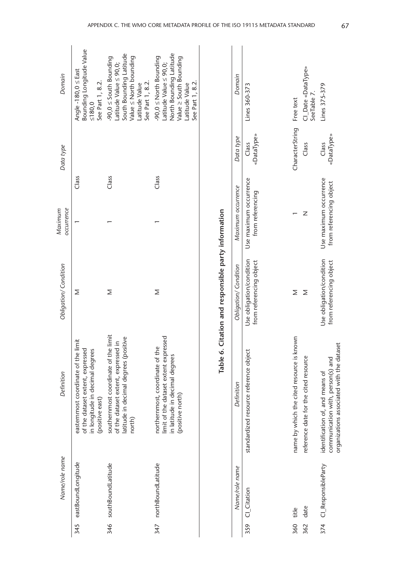| Bounding Longitude Value<br>Angle -180,0 $\leq$ East<br>See Part 1, 8.2.<br>≤180,0                                               | South Bounding Latitude<br>$-90,0 \leq$ South Bounding<br>$Value \leq North$ bounding<br>Latitude Value $\leq 90,0$ ;<br>See Part 1, 8.2.<br>Latitude Value | North Bounding Latitude<br>$-90,0 \leq$ North Bounding<br>Value ≥ South Bounding<br>Latitude Value $\leq 90,0$ ;<br>See Part 1, 8.2.<br>Latitude Value |                        | Domain                                     | Lines 360-373                                       |
|----------------------------------------------------------------------------------------------------------------------------------|-------------------------------------------------------------------------------------------------------------------------------------------------------------|--------------------------------------------------------------------------------------------------------------------------------------------------------|------------------------|--------------------------------------------|-----------------------------------------------------|
|                                                                                                                                  |                                                                                                                                                             |                                                                                                                                                        |                        | Data type                                  | «DataType»<br>Class                                 |
| Class                                                                                                                            | Class                                                                                                                                                       | Class                                                                                                                                                  |                        |                                            |                                                     |
|                                                                                                                                  |                                                                                                                                                             |                                                                                                                                                        |                        |                                            | Use maximum occurrence<br>from referencing          |
| Σ                                                                                                                                | Σ                                                                                                                                                           | Σ                                                                                                                                                      |                        | Obligation/Condition                       | Use obligation/condition<br>from referencing object |
| limit<br>of the dataset extent, expressed<br>in longitude in decimal degrees<br>easternmost coordinate of the<br>(positive east) | southernmost coordinate of the limit<br>of the dataset extent, expressed in<br>latitude in decimal degrees (positive<br>north)                              | limit of the dataset extent expressed<br>northernmost, coordinate of the<br>in latitude in decimal degrees<br>(positive north)                         | Table 6.               | Definition                                 | standardized resource reference object              |
| eastBoundLongitude                                                                                                               |                                                                                                                                                             |                                                                                                                                                        |                        | Name/role name                             | CI_Citation<br>359                                  |
|                                                                                                                                  | 345                                                                                                                                                         | 346 southBoundLatitude                                                                                                                                 | 347 northBoundLatitude | Citation and responsible party information | Maximum occurrence                                  |

| 359 Cl_Citation         | standardized resource reference object                                                                            | from referencing object                             | Use obligation/condition Use maximum occurrence<br>from referencing | «DataType»<br>Class | Lines 360-373                     |
|-------------------------|-------------------------------------------------------------------------------------------------------------------|-----------------------------------------------------|---------------------------------------------------------------------|---------------------|-----------------------------------|
| 360 title               | name by which the cited resource is known                                                                         |                                                     |                                                                     | CharacterString     | Free text                         |
| 362 date                | reference date for the cited resource                                                                             |                                                     |                                                                     | Class               | CI_Date «DataType»<br>SeeTable 7. |
| 374 CI_ResponsibleParty | organizations associated with the dataset<br>communication with, person(s) and<br>identification of, and means of | Use obligation/condition<br>from referencing object | Use maximum occurrence<br>from referencing object                   | «DataType»<br>Class | lines 375-379                     |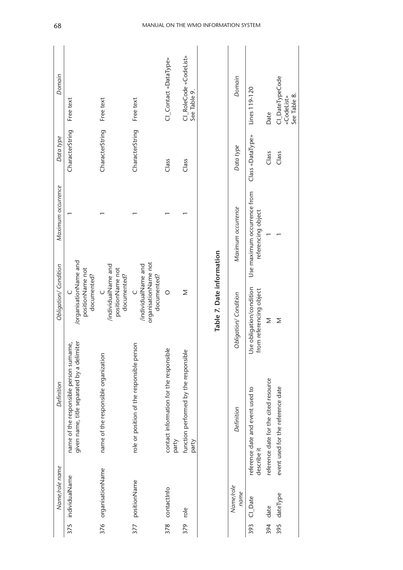|     | Name/role name       | Definition                                                                            | Obligation/Condition                                       | Maximum occurrence                                | Data type        | Domain                                        |
|-----|----------------------|---------------------------------------------------------------------------------------|------------------------------------------------------------|---------------------------------------------------|------------------|-----------------------------------------------|
| 375 | individualName       | name of the responsible person surname,<br>given name, title separated by a delimiter | /organisationName and<br>positionName not<br>documented?   |                                                   | CharacterString  | Free text                                     |
|     | 376 organisationName | name of the responsible organization                                                  | /individualName and<br>positionName not<br>documented?     |                                                   | CharacterString  | Free text                                     |
| 377 | positionName         | role or position of the responsible person                                            | organisationName not<br>/individualName and<br>documented? |                                                   | CharacterString  | Free text                                     |
| 378 | contactinfo          | contact information for the responsible<br>party                                      | $\circ$                                                    |                                                   | Class            | CI_Contact «DataType»                         |
| 379 | role                 | function performed by the responsible<br>party                                        | Σ                                                          |                                                   | Class            | CI_RoleCode «CodeList»<br>See Table 9.        |
|     |                      |                                                                                       | Table 7. Date information                                  |                                                   |                  |                                               |
|     | Name/role<br>name    | Definition                                                                            | Obligation/Condition                                       | Maximum occurrence                                | Data type        | Domain                                        |
| 393 | Cl_Date              | reference date and event used to<br>describe it                                       | obligation/condition<br>from referencing object<br>Use     | Use maximum occurrence from<br>referencing object | Class «DataType» | Lines 119-120                                 |
| 394 | date                 | reference date for the cited resource                                                 | Σ                                                          |                                                   | Class            | Date                                          |
| 395 | dateType             | event used for the reference date                                                     | Σ                                                          |                                                   | Class            | Cl_DateTypeCode<br>See Table 8.<br>«CodeList» |

#### 68 MANUAL ON THE WMO INFORMATION SYSTEM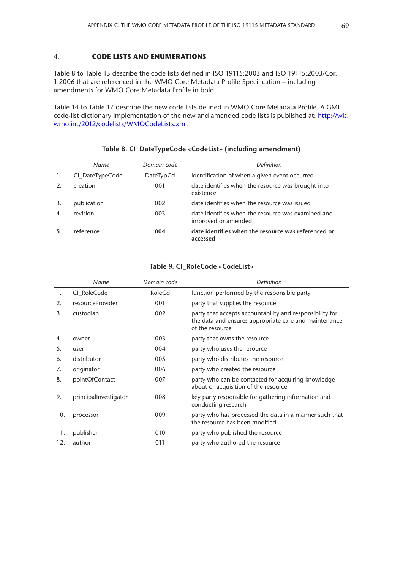#### 4. **CODE LISTS AND ENUMERATIONS**

Table 8 to Table 13 describe the code lists defined in ISO 19115:2003 and ISO 19115:2003/Cor. 1:2006 that are referenced in the WMO Core Metadata Profile Specification – including amendments for WMO Core Metadata Profile in bold.

Table 14 to Table 17 describe the new code lists defined in WMO Core Metadata Profile. A GML code-list dictionary implementation of the new and amended code lists is published at: [http://wis.](http://wis.wmo.int/2012/codelists/WMOCodeLists.xml) [wmo.int/2012/codelists/WMOCodeLists.xml](http://wis.wmo.int/2012/codelists/WMOCodeLists.xml).

|                 | Name            | Domain code | <b>Definition</b>                                                         |
|-----------------|-----------------|-------------|---------------------------------------------------------------------------|
| 1.              | Cl_DateTypeCode | DateTypCd   | identification of when a given event occurred                             |
| $\mathcal{P}_1$ | creation        | 001         | date identifies when the resource was brought into<br>existence           |
| 3.              | publication     | 002         | date identifies when the resource was issued                              |
| 4.              | revision        | 003         | date identifies when the resource was examined and<br>improved or amended |
|                 | reference       | 004         | date identifies when the resource was referenced or<br>accessed           |

#### **Table 8. CI\_DateTypeCode «CodeList» (including amendment)**

|     | Name                  | Domain code | <b>Definition</b>                                                                                                                    |
|-----|-----------------------|-------------|--------------------------------------------------------------------------------------------------------------------------------------|
| 1.  | CI RoleCode           | RoleCd      | function performed by the responsible party                                                                                          |
| 2.  | resourceProvider      | 001         | party that supplies the resource                                                                                                     |
| 3.  | custodian             | 002         | party that accepts accountability and responsibility for<br>the data and ensures appropriate care and maintenance<br>of the resource |
| 4.  | owner                 | 003         | party that owns the resource                                                                                                         |
| 5.  | user                  | 004         | party who uses the resource                                                                                                          |
| 6.  | distributor           | 005         | party who distributes the resource                                                                                                   |
| 7.  | originator            | 006         | party who created the resource                                                                                                       |
| 8.  | pointOfContact        | 007         | party who can be contacted for acquiring knowledge<br>about or acquisition of the resource                                           |
| 9.  | principalInvestigator | 008         | key party responsible for gathering information and<br>conducting research                                                           |
| 10. | processor             | 009         | party who has processed the data in a manner such that<br>the resource has been modified                                             |
| 11. | publisher             | 010         | party who published the resource                                                                                                     |
| 12. | author                | 011         | party who authored the resource                                                                                                      |

#### **Table 9. CI\_RoleCode «CodeList»**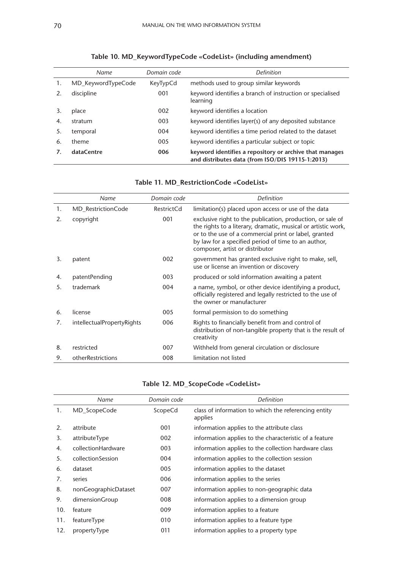|    | Name               | Domain code | <b>Definition</b>                                                                                           |
|----|--------------------|-------------|-------------------------------------------------------------------------------------------------------------|
| 1. | MD KeywordTypeCode | KeyTypCd    | methods used to group similar keywords                                                                      |
|    | discipline         | 001         | keyword identifies a branch of instruction or specialised<br>learning                                       |
|    | place              | 002         | keyword identifies a location                                                                               |
| 4. | stratum            | 003         | keyword identifies layer(s) of any deposited substance                                                      |
| 5. | temporal           | 004         | keyword identifies a time period related to the dataset                                                     |
| 6. | theme              | 005         | keyword identifies a particular subject or topic                                                            |
|    | dataCentre         | 006         | keyword identifies a repository or archive that manages<br>and distributes data (from ISO/DIS 19115-1:2013) |

## **Table 10. MD\_KeywordTypeCode «CodeList» (including amendment)**

|    | Name                       | Domain code | <b>Definition</b>                                                                                                                                                                                                                                                              |
|----|----------------------------|-------------|--------------------------------------------------------------------------------------------------------------------------------------------------------------------------------------------------------------------------------------------------------------------------------|
| 1. | MD_RestrictionCode         | RestrictCd  | limitation(s) placed upon access or use of the data                                                                                                                                                                                                                            |
| 2. | copyright                  | 001         | exclusive right to the publication, production, or sale of<br>the rights to a literary, dramatic, musical or artistic work,<br>or to the use of a commercial print or label, granted<br>by law for a specified period of time to an author,<br>composer, artist or distributor |
| 3. | patent                     | 002         | government has granted exclusive right to make, sell,<br>use or license an invention or discovery                                                                                                                                                                              |
| 4. | patentPending              | 003         | produced or sold information awaiting a patent                                                                                                                                                                                                                                 |
| 5. | trademark                  | 004         | a name, symbol, or other device identifying a product,<br>officially registered and legally restricted to the use of<br>the owner or manufacturer                                                                                                                              |
| 6. | license                    | 005         | formal permission to do something                                                                                                                                                                                                                                              |
| 7. | intellectualPropertyRights | 006         | Rights to financially benefit from and control of<br>distribution of non-tangible property that is the result of<br>creativity                                                                                                                                                 |
| 8. | restricted                 | 007         | Withheld from general circulation or disclosure                                                                                                                                                                                                                                |
| 9. | otherRestrictions          | 008         | limitation not listed                                                                                                                                                                                                                                                          |

#### **Table 11. MD\_RestrictionCode «CodeList»**

## **Table 12. MD\_ScopeCode «CodeList»**

|     | Name                 | Domain code | <b>Definition</b>                                               |
|-----|----------------------|-------------|-----------------------------------------------------------------|
| 1.  | MD_ScopeCode         | ScopeCd     | class of information to which the referencing entity<br>applies |
| 2.  | attribute            | 001         | information applies to the attribute class                      |
| 3.  | attributeType        | 002         | information applies to the characteristic of a feature          |
| 4.  | collectionHardware   | 003         | information applies to the collection hardware class            |
| 5.  | collectionSession    | 004         | information applies to the collection session                   |
| 6.  | dataset              | 005         | information applies to the dataset                              |
| 7.  | series               | 006         | information applies to the series                               |
| 8.  | nonGeographicDataset | 007         | information applies to non-geographic data                      |
| 9.  | dimensionGroup       | 008         | information applies to a dimension group                        |
| 10. | feature              | 009         | information applies to a feature                                |
| 11. | featureType          | 010         | information applies to a feature type                           |
| 12. | propertyType         | 011         | information applies to a property type                          |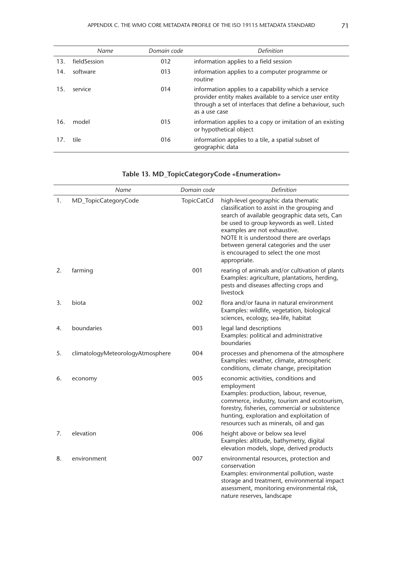|     | Name         | Domain code | <b>Definition</b>                                                                                                                                                                             |
|-----|--------------|-------------|-----------------------------------------------------------------------------------------------------------------------------------------------------------------------------------------------|
| 13. | fieldSession | 012         | information applies to a field session                                                                                                                                                        |
| 14. | software     | 013         | information applies to a computer programme or<br>routine                                                                                                                                     |
| 15. | service      | 014         | information applies to a capability which a service<br>provider entity makes available to a service user entity<br>through a set of interfaces that define a behaviour, such<br>as a use case |
| 16. | model        | 015         | information applies to a copy or imitation of an existing<br>or hypothetical object                                                                                                           |
| 17. | tile         | 016         | information applies to a tile, a spatial subset of<br>geographic data                                                                                                                         |

|    | Name                             | Domain code       | Definition                                                                                                                                                                                                                                                                                                                                                       |
|----|----------------------------------|-------------------|------------------------------------------------------------------------------------------------------------------------------------------------------------------------------------------------------------------------------------------------------------------------------------------------------------------------------------------------------------------|
| 1. | MD_TopicCategoryCode             | <b>TopicCatCd</b> | high-level geographic data thematic<br>classification to assist in the grouping and<br>search of available geographic data sets, Can<br>be used to group keywords as well. Listed<br>examples are not exhaustive.<br>NOTE It is understood there are overlaps<br>between general categories and the user<br>is encouraged to select the one most<br>appropriate. |
| 2. | farming                          | 001               | rearing of animals and/or cultivation of plants<br>Examples: agriculture, plantations, herding,<br>pests and diseases affecting crops and<br>livestock                                                                                                                                                                                                           |
| 3. | biota                            | 002               | flora and/or fauna in natural environment<br>Examples: wildlife, vegetation, biological<br>sciences, ecology, sea-life, habitat                                                                                                                                                                                                                                  |
| 4. | boundaries                       | 003               | legal land descriptions<br>Examples: political and administrative<br>boundaries                                                                                                                                                                                                                                                                                  |
| 5. | climatologyMeteorologyAtmosphere | 004               | processes and phenomena of the atmosphere<br>Examples: weather, climate, atmospheric<br>conditions, climate change, precipitation                                                                                                                                                                                                                                |
| 6. | economy                          | 005               | economic activities, conditions and<br>employment<br>Examples: production, labour, revenue,<br>commerce, industry, tourism and ecotourism,<br>forestry, fisheries, commercial or subsistence<br>hunting, exploration and exploitation of<br>resources such as minerals, oil and gas                                                                              |
| 7. | elevation                        | 006               | height above or below sea level<br>Examples: altitude, bathymetry, digital<br>elevation models, slope, derived products                                                                                                                                                                                                                                          |
| 8. | environment                      | 007               | environmental resources, protection and<br>conservation<br>Examples: environmental pollution, waste<br>storage and treatment, environmental impact<br>assessment, monitoring environmental risk,<br>nature reserves, landscape                                                                                                                                   |

## **Table 13. MD\_TopicCategoryCode «Enumeration»**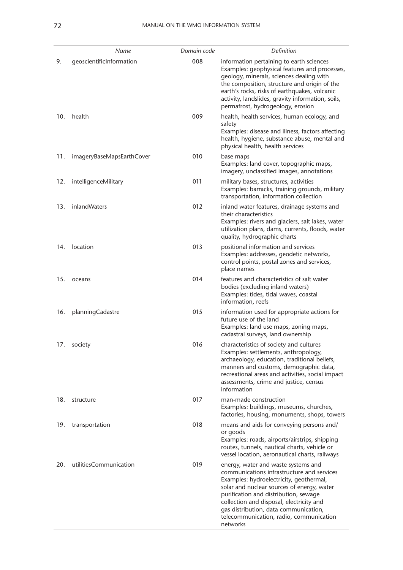|     | Name                      | Domain code | Definition                                                                                                                                                                                                                                                                                                                                                      |
|-----|---------------------------|-------------|-----------------------------------------------------------------------------------------------------------------------------------------------------------------------------------------------------------------------------------------------------------------------------------------------------------------------------------------------------------------|
| 9.  | qeoscientificInformation  | 008         | information pertaining to earth sciences<br>Examples: geophysical features and processes,<br>geology, minerals, sciences dealing with<br>the composition, structure and origin of the<br>earth's rocks, risks of earthquakes, volcanic<br>activity, landslides, gravity information, soils,<br>permafrost, hydrogeology, erosion                                |
| 10. | health                    | 009         | health, health services, human ecology, and<br>safety<br>Examples: disease and illness, factors affecting<br>health, hygiene, substance abuse, mental and<br>physical health, health services                                                                                                                                                                   |
| 11. | imageryBaseMapsEarthCover | 010         | base maps<br>Examples: land cover, topographic maps,<br>imagery, unclassified images, annotations                                                                                                                                                                                                                                                               |
| 12. | intelligenceMilitary      | 011         | military bases, structures, activities<br>Examples: barracks, training grounds, military<br>transportation, information collection                                                                                                                                                                                                                              |
| 13. | inlandWaters              | 012         | inland water features, drainage systems and<br>their characteristics<br>Examples: rivers and glaciers, salt lakes, water<br>utilization plans, dams, currents, floods, water<br>quality, hydrographic charts                                                                                                                                                    |
| 14. | location                  | 013         | positional information and services<br>Examples: addresses, geodetic networks,<br>control points, postal zones and services,<br>place names                                                                                                                                                                                                                     |
| 15. | oceans                    | 014         | features and characteristics of salt water<br>bodies (excluding inland waters)<br>Examples: tides, tidal waves, coastal<br>information, reefs                                                                                                                                                                                                                   |
| 16. | planningCadastre          | 015         | information used for appropriate actions for<br>future use of the land<br>Examples: land use maps, zoning maps,<br>cadastral surveys, land ownership                                                                                                                                                                                                            |
| 17. | society                   | 016         | characteristics of society and cultures<br>Examples: settlements, anthropology,<br>archaeology, education, traditional beliefs,<br>manners and customs, demographic data,<br>recreational areas and activities, social impact<br>assessments, crime and justice, census<br>information                                                                          |
| 18. | structure                 | 017         | man-made construction<br>Examples: buildings, museums, churches,<br>factories, housing, monuments, shops, towers                                                                                                                                                                                                                                                |
| 19. | transportation            | 018         | means and aids for conveying persons and/<br>or goods<br>Examples: roads, airports/airstrips, shipping<br>routes, tunnels, nautical charts, vehicle or<br>vessel location, aeronautical charts, railways                                                                                                                                                        |
| 20. | utilitiesCommunication    | 019         | energy, water and waste systems and<br>communications infrastructure and services<br>Examples: hydroelectricity, geothermal,<br>solar and nuclear sources of energy, water<br>purification and distribution, sewage<br>collection and disposal, electricity and<br>gas distribution, data communication,<br>telecommunication, radio, communication<br>networks |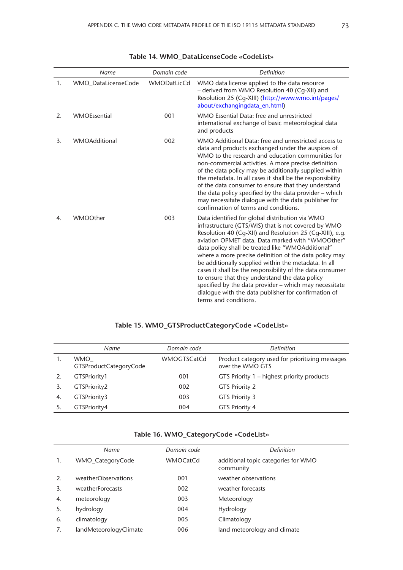|    | Name                 | Domain code | Definition                                                                                                                                                                                                                                                                                                                                                                                                                                                                                                                                                                                                                                              |
|----|----------------------|-------------|---------------------------------------------------------------------------------------------------------------------------------------------------------------------------------------------------------------------------------------------------------------------------------------------------------------------------------------------------------------------------------------------------------------------------------------------------------------------------------------------------------------------------------------------------------------------------------------------------------------------------------------------------------|
| 1. | WMO_DataLicenseCode  | WMODatLicCd | WMO data license applied to the data resource<br>- derived from WMO Resolution 40 (Cq-XII) and<br>Resolution 25 (Cg-XIII) (http://www.wmo.int/pages/<br>about/exchangingdata_en.html)                                                                                                                                                                                                                                                                                                                                                                                                                                                                   |
| 2. | <b>WMOEssential</b>  | 001         | WMO Essential Data: free and unrestricted<br>international exchange of basic meteorological data<br>and products                                                                                                                                                                                                                                                                                                                                                                                                                                                                                                                                        |
| 3. | <b>WMOAdditional</b> | 002         | WMO Additional Data: free and unrestricted access to<br>data and products exchanged under the auspices of<br>WMO to the research and education communities for<br>non-commercial activities. A more precise definition<br>of the data policy may be additionally supplied within<br>the metadata. In all cases it shall be the responsibility<br>of the data consumer to ensure that they understand<br>the data policy specified by the data provider - which<br>may necessitate dialogue with the data publisher for<br>confirmation of terms and conditions.                                                                                         |
| 4. | WMOOther             | 003         | Data identified for global distribution via WMO<br>infrastructure (GTS/WIS) that is not covered by WMO<br>Resolution 40 (Cq-XII) and Resolution 25 (Cq-XIII), e.g.<br>aviation OPMET data. Data marked with "WMOOther"<br>data policy shall be treated like "WMOAdditional"<br>where a more precise definition of the data policy may<br>be additionally supplied within the metadata. In all<br>cases it shall be the responsibility of the data consumer<br>to ensure that they understand the data policy<br>specified by the data provider - which may necessitate<br>dialogue with the data publisher for confirmation of<br>terms and conditions. |

|  | Table 14. WMO DataLicenseCode «CodeList» |  |
|--|------------------------------------------|--|
|--|------------------------------------------|--|

## **Table 15. WMO\_GTSProductCategoryCode «CodeList»**

|    | Name                                 | Domain code        | <i>Definition</i>                                                   |
|----|--------------------------------------|--------------------|---------------------------------------------------------------------|
|    | <b>WMO</b><br>GTSProductCategoryCode | <b>WMOGTSCatCd</b> | Product category used for prioritizing messages<br>over the WMO GTS |
|    | GTSPriority1                         | 001                | GTS Priority 1 – highest priority products                          |
|    | GTSPriority2                         | 002                | <b>GTS Priority 2</b>                                               |
| 4. | GTSPriority3                         | 003                | GTS Priority 3                                                      |
|    | GTSPriority4                         | 004                | <b>GTS Priority 4</b>                                               |

|  |  |  |  | Table 16. WMO_CategoryCode «CodeList» |
|--|--|--|--|---------------------------------------|
|--|--|--|--|---------------------------------------|

|    | Name                   | Domain code     | <b>Definition</b>                                |  |
|----|------------------------|-----------------|--------------------------------------------------|--|
| 1. | WMO CategoryCode       | <b>WMOCatCd</b> | additional topic categories for WMO<br>community |  |
| 2. | weatherObservations    | 001             | weather observations                             |  |
| 3. | weatherForecasts       | 002             | weather forecasts                                |  |
| 4. | meteorology            | 003             | Meteorology                                      |  |
| 5. | hydrology              | 004             | Hydrology                                        |  |
| 6. | climatology            | 005             | Climatology                                      |  |
|    | landMeteorologyClimate | 006             | land meteorology and climate                     |  |